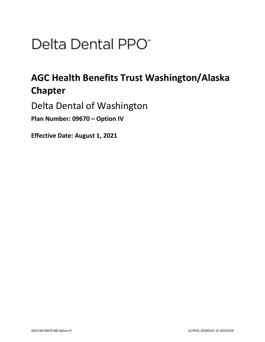# Delta Dental PPO<sup>\*</sup>

## **AGC Health Benefits Trust Washington/Alaska Chapter**

Delta Dental of Washington

**Plan Number: 09670 – Option IV** 

**Effective Date: August 1, 2021**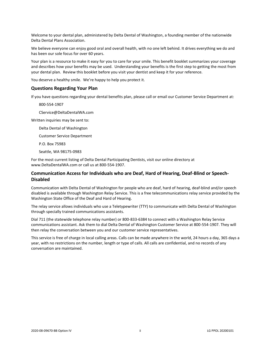Welcome to your dental plan, administered by Delta Dental of Washington, a founding member of the nationwide Delta Dental Plans Association.

We believe everyone can enjoy good oral and overall health, with no one left behind. It drives everything we do and has been our sole focus for over 60 years.

Your plan is a resource to make it easy for you to care for your smile. This benefit booklet summarizes your coverage and describes how your benefits may be used. Understanding your benefits is the first step to getting the most from your dental plan. Review this booklet before you visit your dentist and keep it for your reference.

You deserve a healthy smile. We're happy to help you protect it.

## **Questions Regarding Your Plan**

If you have questions regarding your dental benefits plan, please call or email our Customer Service Department at:

800-554-1907

CService@DeltaDentalWA.com

Written inquiries may be sent to:

Delta Dental of Washington

Customer Service Department

P.O. Box 75983

Seattle, WA 98175-0983

For the most current listing of Delta Dental Participating Dentists, visit our online directory at www.DeltaDentalWA.com or call us at 800-554-1907.

## **Communication Access for Individuals who are Deaf, Hard of Hearing, Deaf-Blind or Speech-Disabled**

Communication with Delta Dental of Washington for people who are deaf, hard of hearing, deaf-blind and/or speech disabled is available through Washington Relay Service. This is a free telecommunications relay service provided by the Washington State Office of the Deaf and Hard of Hearing.

The relay service allows individuals who use a Teletypewriter (TTY) to communicate with Delta Dental of Washington through specially trained communications assistants.

Dial 711 (the statewide telephone relay number) or 800-833-6384 to connect with a Washington Relay Service communications assistant. Ask them to dial Delta Dental of Washington Customer Service at 800-554-1907. They will then relay the conversation between you and our customer service representatives.

This service is free of charge in local calling areas. Calls can be made anywhere in the world, 24 hours a day, 365 days a year, with no restrictions on the number, length or type of calls. All calls are confidential, and no records of any conversation are maintained.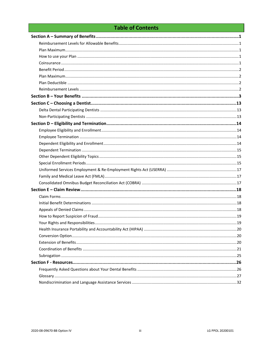## **Table of Contents**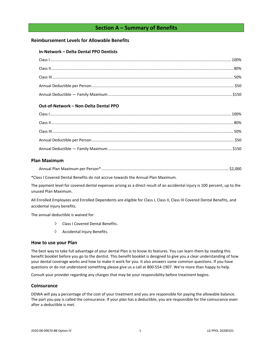## **Section A – Summary of Benefits**

## <span id="page-3-1"></span><span id="page-3-0"></span>**Reimbursement Levels for Allowable Benefits**

## **In-Network – Delta Dental PPO Dentists**

## **Out-of-Network – Non-Delta Dental PPO**

## <span id="page-3-2"></span>**Plan Maximum**

| Annual Plan Maximum per Person*. |  |  |  |
|----------------------------------|--|--|--|
|----------------------------------|--|--|--|

\*Class I Covered Dental Benefits do not accrue towards the Annual Plan Maximum.

The payment level for covered dental expenses arising as a direct result of an accidental injury is 100 percent, up to the unused Plan Maximum.

All Enrolled Employees and Enrolled Dependents are eligible for Class I, Class II, Class III Covered Dental Benefits, and accidental injury benefits.

The annual deductible is waived for:

- Class I Covered Dental Benefits.
- $\Diamond$  Accidental Injury Benefits.

## <span id="page-3-3"></span>**How to use your Plan**

The best way to take full advantage of your dental Plan is to know its features. You can learn them by reading this benefit booklet before you go to the dentist. This benefit booklet is designed to give you a clear understanding of how your dental coverage works and how to make it work for you. It also answers some common questions. If you have questions or do not understand something please give us a call at 800-554-1907. We're more than happy to help.

Consult your provider regarding any charges that may be your responsibility before treatment begins.

## <span id="page-3-4"></span>**Coinsurance**

DDWA will pay a percentage of the cost of your treatment and you are responsible for paying the allowable balance. The part you pay is called the coinsurance. If your plan has a deductible, you are responsible for the coinsurance even after a deductible is met.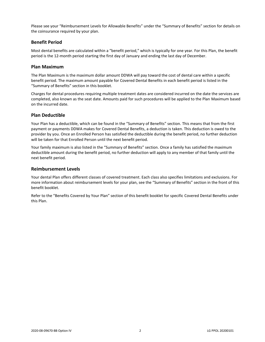Please see your "Reimbursement Levels for Allowable Benefits" under the "Summary of Benefits" section for details on the coinsurance required by your plan.

## <span id="page-4-0"></span>**Benefit Period**

Most dental benefits are calculated within a "benefit period," which is typically for one year. For this Plan, the benefit period is the 12-month period starting the first day of January and ending the last day of December.

## <span id="page-4-1"></span>**Plan Maximum**

The Plan Maximum is the maximum dollar amount DDWA will pay toward the cost of dental care within a specific benefit period. The maximum amount payable for Covered Dental Benefits in each benefit period is listed in the "Summary of Benefits" section in this booklet.

Charges for dental procedures requiring multiple treatment dates are considered incurred on the date the services are completed, also known as the seat date. Amounts paid for such procedures will be applied to the Plan Maximum based on the incurred date.

## <span id="page-4-2"></span>**Plan Deductible**

Your Plan has a deductible, which can be found in the "Summary of Benefits" section. This means that from the first payment or payments DDWA makes for Covered Dental Benefits, a deduction is taken. This deduction is owed to the provider by you. Once an Enrolled Person has satisfied the deductible during the benefit period, no further deduction will be taken for that Enrolled Person until the next benefit period.

Your family maximum is also listed in the "Summary of Benefits" section. Once a family has satisfied the maximum deductible amount during the benefit period, no further deduction will apply to any member of that family until the next benefit period.

## <span id="page-4-3"></span>**Reimbursement Levels**

Your dental Plan offers different classes of covered treatment. Each class also specifies limitations and exclusions. For more information about reimbursement levels for your plan, see the "Summary of Benefits" section in the front of this benefit booklet.

Refer to the "Benefits Covered by Your Plan" section of this benefit booklet for specific Covered Dental Benefits under this Plan.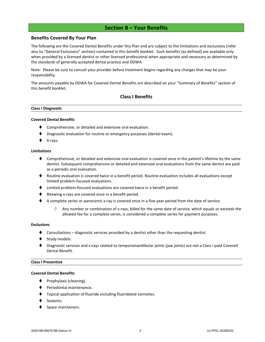## **Section B – Your Benefits**

## <span id="page-5-0"></span>**Benefits Covered By Your Plan**

The following are the Covered Dental Benefits under this Plan and are subject to the limitations and exclusions (refer also to "General Exclusions" section) contained in this benefit booklet. Such benefits (as defined) are available only when provided by a licensed dentist or other licensed professional when appropriate and necessary as determined by the standards of generally accepted dental practice and DDWA.

Note: Please be sure to consult your provider before treatment begins regarding any charges that may be your responsibility.

The amounts payable by DDWA for Covered Dental Benefits are described on your "Summary of Benefits" section of this benefit booklet.

## **Class I Benefits**

#### **Class I Diagnostic**

#### **Covered Dental Benefits**

- Comprehensive, or detailed and extensive oral evaluation.
- Diagnostic evaluation for routine or emergency purposes (dental exam).
- X-rays.

#### **Limitations**

- ♦ Comprehensive, or detailed and extensive oral evaluation is covered once in the patient's lifetime by the same dentist. Subsequent comprehensive or detailed and extensive oral evaluations from the same dentist are paid as a periodic oral evaluation.
- ♦ Routine evaluation is covered twice in a benefit period. Routine evaluation includes all evaluations except limited problem-focused evaluations.
- ⧫ Limited problem-focused evaluations are covered twice in a benefit period.
- Bitewing x-rays are covered once in a benefit period.
- ◆ A complete series or panoramic x-ray is covered once in a five-year period from the date of service.
	- $\Diamond$  Any number or combination of x-rays, billed for the same date of service, which equals or exceeds the allowed fee for a complete series, is considered a complete series for payment purposes.

#### **Exclusions**

- Consultations diagnostic services provided by a dentist other than the requesting dentist.
- Study models.
- Diagnostic services and x-rays related to temporomandibular joints (jaw joints) are not a Class I paid Covered Dental Benefit.

#### **Class I Preventive**

#### **Covered Dental Benefits**

- Prophylaxis (cleaning).
- ⧫ Periodontal maintenance**.**
- ⧫ Topical application of fluoride including fluoridated varnishes.
- Sealants.
- Space maintainers.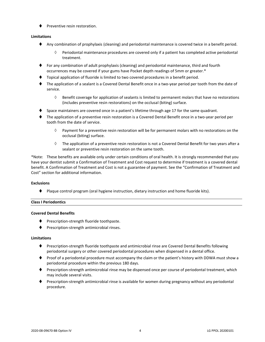⧫ Preventive resin restoration.

## **Limitations**

- ⧫ Any combination of prophylaxis (cleaning) and periodontal maintenance is covered twice in a benefit period.
	- $\Diamond$  Periodontal maintenance procedures are covered only if a patient has completed active periodontal treatment.
- ⧫ For any combination of adult prophylaxis (cleaning) and periodontal maintenance, third and fourth occurrences may be covered if your gums have Pocket depth readings of 5mm or greater.\*
- ⧫ Topical application of fluoride is limited to two covered procedures in a benefit period.
- ⧫ The application of a sealant is a Covered Dental Benefit once in a two-year period per tooth from the date of service.
	- $\Diamond$  Benefit coverage for application of sealants is limited to permanent molars that have no restorations (includes preventive resin restorations) on the occlusal (biting) surface.
- Space maintainers are covered once in a patient's lifetime through age 17 for the same quadrant.
- ⧫ The application of a preventive resin restoration is a Covered Dental Benefit once in a two-year period per tooth from the date of service.
	- $\Diamond$  Payment for a preventive resin restoration will be for permanent molars with no restorations on the occlusal (biting) surface.
	- $\Diamond$  The application of a preventive resin restoration is not a Covered Dental Benefit for two years after a sealant or preventive resin restoration on the same tooth.

\*Note: These benefits are available only under certain conditions of oral health. It is strongly recommended that you have your dentist submit a Confirmation of Treatment and Cost request to determine if treatment is a covered dental benefit. A Confirmation of Treatment and Cost is not a guarantee of payment. See the "Confirmation of Treatment and Cost" section for additional information.

## **Exclusions**

⧫ Plaque control program (oral hygiene instruction, dietary instruction and home fluoride kits).

## **Class I Periodontics**

## **Covered Dental Benefits**

- ◆ Prescription-strength fluoride toothpaste.
- ⧫ Prescription-strength antimicrobial rinses.

## **Limitations**

- ⧫ Prescription-strength fluoride toothpaste and antimicrobial rinse are Covered Dental Benefits following periodontal surgery or other covered periodontal procedures when dispensed in a dental office.
- ⧫ Proof of a periodontal procedure must accompany the claim or the patient's history with DDWA must show a periodontal procedure within the previous 180 days.
- ⧫ Prescription-strength antimicrobial rinse may be dispensed once per course of periodontal treatment, which may include several visits.
- Prescription-strength antimicrobial rinse is available for women during pregnancy without any periodontal procedure.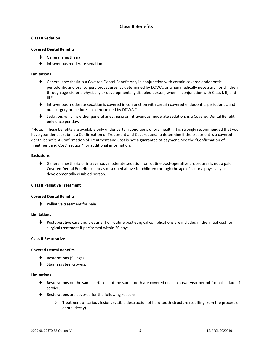## **Class II Sedation**

## **Covered Dental Benefits**

- ⧫ General anesthesia.
- ⧫ Intravenous moderate sedation.

## **Limitations**

- ◆ General anesthesia is a Covered Dental Benefit only in conjunction with certain covered endodontic, periodontic and oral surgery procedures, as determined by DDWA, or when medically necessary, for children through age six, or a physically or developmentally disabled person, when in conjunction with Class I, II, and  $III.*$
- ⧫ Intravenous moderate sedation is covered in conjunction with certain covered endodontic, periodontic and oral surgery procedures, as determined by DDWA.\*
- ◆ Sedation, which is either general anesthesia or intravenous moderate sedation, is a Covered Dental Benefit only once per day.

\*Note: These benefits are available only under certain conditions of oral health. It is strongly recommended that you have your dentist submit a Confirmation of Treatment and Cost request to determine if the treatment is a covered dental benefit. A Confirmation of Treatment and Cost is not a guarantee of payment. See the "Confirmation of Treatment and Cost" section" for additional information.

## **Exclusions**

♦ General anesthesia or intravenous moderate sedation for routine post-operative procedures is not a paid Covered Dental Benefit except as described above for children through the age of six or a physically or developmentally disabled person.

## **Class II Palliative Treatment**

## **Covered Dental Benefits**

⧫ Palliative treatment for pain.

## **Limitations**

⧫ Postoperative care and treatment of routine post-surgical complications are included in the initial cost for surgical treatment if performed within 30 days.

## **Class II Restorative**

#### **Covered Dental Benefits**

- ◆ Restorations (fillings).
- Stainless steel crowns.

## **Limitations**

- ♦ Restorations on the same surface(s) of the same tooth are covered once in a two-year period from the date of service.
- ◆ Restorations are covered for the following reasons:
	- $\Diamond$  Treatment of carious lesions (visible destruction of hard tooth structure resulting from the process of dental decay).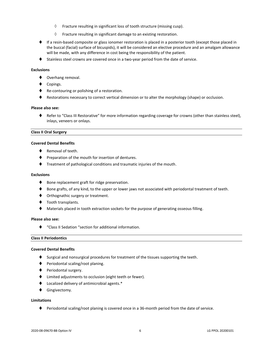- $\Diamond$  Fracture resulting in significant loss of tooth structure (missing cusp).
- $\Diamond$  Fracture resulting in significant damage to an existing restoration.
- ♦ If a resin-based composite or glass ionomer restoration is placed in a posterior tooth (except those placed in the buccal (facial) surface of bicuspids), it will be considered an elective procedure and an amalgam allowance will be made, with any difference in cost being the responsibility of the patient.
- ◆ Stainless steel crowns are covered once in a two-year period from the date of service.

## **Exclusions**

- ◆ Overhang removal.
- Copings.
- ◆ Re-contouring or polishing of a restoration.
- ♦ Restorations necessary to correct vertical dimension or to alter the morphology (shape) or occlusion.

#### **Please also see:**

⧫ Refer to "Class III Restorative" for more information regarding coverage for crowns (other than stainless steel), inlays, veneers or onlays.

#### **Class II Oral Surgery**

## **Covered Dental Benefits**

- Removal of teeth.
- ♦ Preparation of the mouth for insertion of dentures.
- ⧫ Treatment of pathological conditions and traumatic injuries of the mouth.

## **Exclusions**

- ♦ Bone replacement graft for ridge preservation.
- ♦ Bone grafts, of any kind, to the upper or lower jaws not associated with periodontal treatment of teeth.
- ♦ Orthognathic surgery or treatment.
- ◆ Tooth transplants.
- Materials placed in tooth extraction sockets for the purpose of generating osseous filling.

## **Please also see:**

⧫ "Class II Sedation "section for additional information.

## **Class II Periodontics**

#### **Covered Dental Benefits**

- ♦ Surgical and nonsurgical procedures for treatment of the tissues supporting the teeth.
- ⧫ Periodontal scaling/root planing.
- ◆ Periodontal surgery.
- ⧫ Limited adjustments to occlusion (eight teeth or fewer).
- ⧫ Localized delivery of antimicrobial agents.\*
- ⧫ Gingivectomy.

## **Limitations**

♦ Periodontal scaling/root planing is covered once in a 36-month period from the date of service.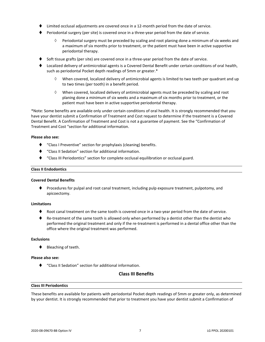- Limited occlusal adjustments are covered once in a 12-month period from the date of service.
- ⧫ Periodontal surgery (per site) is covered once in a three-year period from the date of service.
	- $\Diamond$  Periodontal surgery must be preceded by scaling and root planing done a minimum of six weeks and a maximum of six months prior to treatment, or the patient must have been in active supportive periodontal therapy.
- Soft tissue grafts (per site) are covered once in a three-year period from the date of service.
- ⧫ Localized delivery of antimicrobial agents is a Covered Dental Benefit under certain conditions of oral health, such as periodontal Pocket depth readings of 5mm or greater.\*
	- When covered, localized delivery of antimicrobial agents is limited to two teeth per quadrant and up to two times (per tooth) in a benefit period.
	- $\Diamond$  When covered, localized delivery of antimicrobial agents must be preceded by scaling and root planing done a minimum of six weeks and a maximum of six months prior to treatment, or the patient must have been in active supportive periodontal therapy.

\*Note: Some benefits are available only under certain conditions of oral health. It is strongly recommended that you have your dentist submit a Confirmation of Treatment and Cost request to determine if the treatment is a Covered Dental Benefit. A Confirmation of Treatment and Cost is not a guarantee of payment. See the "Confirmation of Treatment and Cost "section for additional information.

#### **Please also see:**

- ⧫ "Class I Preventive" section for prophylaxis (cleaning) benefits.
- ⧫ "Class II Sedation" section for additional information.
- ⧫ "Class III Periodontics" section for complete occlusal equilibration or occlusal guard.

#### **Class II Endodontics**

## **Covered Dental Benefits**

⧫ Procedures for pulpal and root canal treatment, including pulp exposure treatment, pulpotomy, and apicoectomy.

## **Limitations**

- Root canal treatment on the same tooth is covered once in a two-year period from the date of service.
- ♦ Re-treatment of the same tooth is allowed only when performed by a dentist other than the dentist who performed the original treatment and only if the re-treatment is performed in a dental office other than the office where the original treatment was performed.

## **Exclusions**

⧫ Bleaching of teeth.

## **Please also see:**

⧫ "Class II Sedation" section for additional information.

## **Class III Benefits**

## **Class III Periodontics**

These benefits are available for patients with periodontal Pocket depth readings of 5mm or greater only, as determined by your dentist. It is strongly recommended that prior to treatment you have your dentist submit a Confirmation of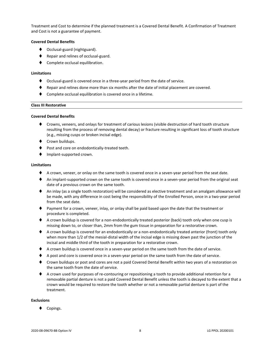Treatment and Cost to determine if the planned treatment is a Covered Dental Benefit. A Confirmation of Treatment and Cost is not a guarantee of payment.

## **Covered Dental Benefits**

- ◆ Occlusal-guard (nightguard).
- ◆ Repair and relines of occlusal-guard.
- Complete occlusal equilibration.

## **Limitations**

- ⧫ Occlusal-guard is covered once in a three-year period from the date of service.
- ⧫ Repair and relines done more than six months after the date of initial placement are covered.
- Complete occlusal equilibration is covered once in a lifetime.

## **Class III Restorative**

## **Covered Dental Benefits**

- ⧫ Crowns, veneers, and onlays for treatment of carious lesions (visible destruction of hard tooth structure resulting from the process of removing dental decay) or fracture resulting in significant loss of tooth structure (e.g., missing cusps or broken incisal edge).
- ◆ Crown buildups.
- Post and core on endodontically-treated teeth.
- ⧫ Implant-supported crown.

## **Limitations**

- ♦ A crown, veneer, or onlay on the same tooth is covered once in a seven-year period from the seat date.
- ♦ An implant-supported crown on the same tooth is covered once in a seven-year period from the original seat date of a previous crown on the same tooth.
- ◆ An inlay (as a single tooth restoration) will be considered as elective treatment and an amalgam allowance will be made, with any difference in cost being the responsibility of the Enrolled Person, once in a two-year period from the seat date.
- ⧫ Payment for a crown, veneer, inlay, or onlay shall be paid based upon the date that the treatment or procedure is completed.
- ♦ A crown buildup is covered for a non-endodontically treated posterior (back) tooth only when one cusp is missing down to, or closer than, 2mm from the gum tissue in preparation for a restorative crown.
- ♦ A crown buildup is covered for an endodontically or a non-endodontically treated anterior (front) tooth only when more than 1/2 of the mesial-distal width of the incisal edge is missing down past the junction of the incisal and middle third of the tooth in preparation for a restorative crown.
- ◆ A crown buildup is covered once in a seven-year period on the same tooth from the date of service.
- ♦ A post and core is covered once in a seven-year period on the same tooth from the date of service.
- ◆ Crown buildups or post and cores are not a paid Covered Dental Benefit within two years of a restoration on the same tooth from the date of service.
- ◆ A crown used for purposes of re-contouring or repositioning a tooth to provide additional retention for a removable partial denture is not a paid Covered Dental Benefit unless the tooth is decayed to the extent that a crown would be required to restore the tooth whether or not a removable partial denture is part of the treatment.

## **Exclusions**

Copings.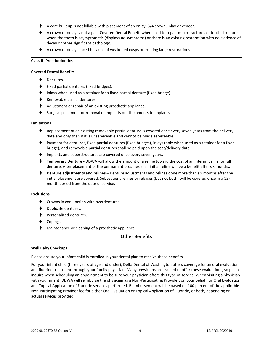- A core buildup is not billable with placement of an onlay, 3/4 crown, inlay or veneer.
- ♦ A crown or onlay is not a paid Covered Dental Benefit when used to repair micro-fractures of tooth structure when the tooth is asymptomatic (displays no symptoms) or there is an existing restoration with no evidence of decay or other significant pathology.
- ◆ A crown or onlay placed because of weakened cusps or existing large restorations.

## **Class III Prosthodontics**

#### **Covered Dental Benefits**

- Dentures.
- ⧫ Fixed partial dentures (fixed bridges).
- Inlays when used as a retainer for a fixed partial denture (fixed bridge).
- ◆ Removable partial dentures.
- ◆ Adjustment or repair of an existing prosthetic appliance.
- Surgical placement or removal of implants or attachments to implants.

#### **Limitations**

- Replacement of an existing removable partial denture is covered once every seven years from the delivery date and only then if it is unserviceable and cannot be made serviceable.
- ⧫ Payment for dentures, fixed partial dentures (fixed bridges), inlays (only when used as a retainer for a fixed bridge), and removable partial dentures shall be paid upon the seat/delivery date.
- ♦ Implants and superstructures are covered once every seven years.
- ⧫ **Temporary Denture -** DDWA will allow the amount of a reline toward the cost of an interim partial or full denture. After placement of the permanent prosthesis, an initial reline will be a benefit after six months.
- ⧫ **Denture adjustments and relines –** Denture adjustments and relines done more than six months after the initial placement are covered. Subsequent relines or rebases (but not both) will be covered once in a 12 month period from the date of service.

## **Exclusions**

- ⧫ Crowns in conjunction with overdentures.
- ⧫ Duplicate dentures.
- ⧫ Personalized dentures.
- ◆ Copings.
- ◆ Maintenance or cleaning of a prosthetic appliance.

## **Other Benefits**

#### **Well Baby Checkups**

Please ensure your infant child is enrolled in your dental plan to receive these benefits.

For your infant child (three years of age and under), Delta Dental of Washington offers coverage for an oral evaluation and fluoride treatment through your family physician. Many physicians are trained to offer these evaluations, so please inquire when scheduling an appointment to be sure your physician offers this type of service. When visiting a physician with your infant, DDWA will reimburse the physician as a Non-Participating Provider, on your behalf for Oral Evaluation and Topical Application of Fluoride services performed. Reimbursement will be based on 100 percent of the applicable Non-Participating Provider fee for either Oral Evaluation or Topical Application of Fluoride, or both, depending on actual services provided.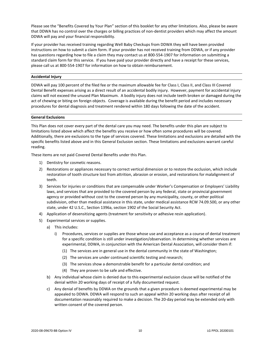Please see the "Benefits Covered by Your Plan" section of this booklet for any other limitations. Also, please be aware that DDWA has no control over the charges or billing practices of non-dentist providers which may affect the amount DDWA will pay and your financial responsibility.

If your provider has received training regarding Well Baby Checkups from DDWA they will have been provided instructions on how to submit a claim form. If your provider has not received training from DDWA, or if any provider has questions regarding how to file a claim they may contact us at 800-554-1907 for information on submitting a standard claim form for this service. If you have paid your provider directly and have a receipt for these services, please call us at 800-554-1907 for information on how to obtain reimbursement.

## **Accidental Injury**

DDWA will pay 100 percent of the filed fee or the maximum allowable fee for Class I, Class II, and Class III Covered Dental Benefit expenses arising as a direct result of an accidental bodily injury. However, payment for accidental injury claims will not exceed the unused Plan Maximum. A bodily injury does not include teeth broken or damaged during the act of chewing or biting on foreign objects. Coverage is available during the benefit period and includes necessary procedures for dental diagnosis and treatment rendered within 180 days following the date of the accident.

## **General Exclusions**

This Plan does not cover every part of the dental care you may need. The benefits under this plan are subject to limitations listed above which affect the benefits you receive or how often some procedures will be covered. Additionally, there are exclusions to the type of services covered. These limitations and exclusions are detailed with the specific benefits listed above and in this General Exclusion section. These limitations and exclusions warrant careful reading.

These items are not paid Covered Dental Benefits under this Plan.

- 1) Dentistry for cosmetic reasons.
- 2) Restorations or appliances necessary to correct vertical dimension or to restore the occlusion, which include restoration of tooth structure lost from attrition, abrasion or erosion, and restorations for malalignment of teeth.
- 3) Services for injuries or conditions that are compensable under Worker's Compensation or Employers' Liability laws, and services that are provided to the covered person by any federal, state or provincial government agency or provided without cost to the covered person by any municipality, county, or other political subdivision, other than medical assistance in this state, under medical assistance RCW 74.09.500, or any other state, under 42 U.S.C., Section 1396a, section 1902 of the Social Security Act.
- 4) Application of desensitizing agents (treatment for sensitivity or adhesive resin application).
- 5) Experimental services or supplies.
	- a) This includes:
		- i) Procedures, services or supplies are those whose use and acceptance as a course of dental treatment for a specific condition is still under investigation/observation. In determining whether services are experimental, DDWA, in conjunction with the American Dental Association, will consider them if:
			- (1) The services are in general use in the dental community in the state of Washington;
			- (2) The services are under continued scientific testing and research;
			- (3) The services show a demonstrable benefit for a particular dental condition; and
			- (4) They are proven to be safe and effective.
	- b) Any individual whose claim is denied due to this experimental exclusion clause will be notified of the denial within 20 working days of receipt of a fully documented request.
	- c) Any denial of benefits by DDWA on the grounds that a given procedure is deemed experimental may be appealed to DDWA. DDWA will respond to such an appeal within 20 working days after receipt of all documentation reasonably required to make a decision. The 20-day period may be extended only with written consent of the covered person.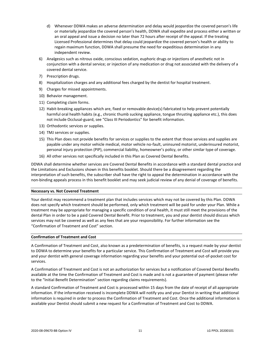- d) Whenever DDWA makes an adverse determination and delay would jeopardize the covered person's life or materially jeopardize the covered person's health, DDWA shall expedite and process either a written or an oral appeal and issue a decision no later than 72 hours after receipt of the appeal. If the treating Licensed Professional determines that delay could jeopardize the covered person's health or ability to regain maximum function, DDWA shall presume the need for expeditious determination in any independent review.
- 6) Analgesics such as nitrous oxide, conscious sedation, euphoric drugs or injections of anesthetic not in conjunction with a dental service; or injection of any medication or drug not associated with the delivery of a covered dental service.
- 7) Prescription drugs.
- 8) Hospitalization charges and any additional fees charged by the dentist for hospital treatment.
- 9) Charges for missed appointments.
- 10) Behavior management.
- 11) Completing claim forms.
- 12) Habit-breaking appliances which are, fixed or removable device(s) fabricated to help prevent potentially harmful oral health habits (e.g., chronic thumb sucking appliance, tongue thrusting appliance etc.), this does not include Occlusal-guard, see "Class III Periodontics" for benefit information.
- 13) Orthodontic services or supplies.
- 14) TMJ services or supplies.
- 15) This Plan does not provide benefits for services or supplies to the extent that those services and supplies are payable under any motor vehicle medical, motor vehicle no-fault, uninsured motorist, underinsured motorist, personal injury protection (PIP), commercial liability, homeowner's policy, or other similar type of coverage.
- 16) All other services not specifically included in this Plan as Covered Dental Benefits.

DDWA shall determine whether services are Covered Dental Benefits in accordance with a standard dental practice and the Limitations and Exclusions shown in this benefits booklet. Should there be a disagreement regarding the interpretation of such benefits, the subscriber shall have the right to appeal the determination in accordance with the non-binding appeals process in this benefit booklet and may seek judicial review of any denial of coverage of benefits.

## **Necessary vs. Not Covered Treatment**

Your dentist may recommend a treatment plan that includes services which may not be covered by this Plan. DDWA does not specify which treatment should be performed, only which treatment will be paid for under your Plan. While a treatment may be appropriate for managing a specific condition of oral health, it must still meet the provisions of the dental Plan in order to be a paid Covered Dental Benefit. Prior to treatment, you and your dentist should discuss which services may not be covered as well as any fees that are your responsibility. For further information see the "Confirmation of Treatment and Cost" section.

## **Confirmation of Treatment and Cost**

A Confirmation of Treatment and Cost, also known as a predetermination of benefits, is a request made by your dentist to DDWA to determine your benefits for a particular service. This Confirmation of Treatment and Cost will provide you and your dentist with general coverage information regarding your benefits and your potential out-of-pocket cost for services.

A Confirmation of Treatment and Cost is not an authorization for services but a notification of Covered Dental Benefits available at the time the Confirmation of Treatment and Cost is made and is not a guarantee of payment (please refer to the "Initial Benefit Determination" section regarding claims requirements).

A standard Confirmation of Treatment and Cost is processed within 15 days from the date of receipt of all appropriate information. If the information received is incomplete DDWA will notify you and your Dentist in writing that additional information is required in order to process the Confirmation of Treatment and Cost. Once the additional information is available your Dentist should submit a new request for a Confirmation of Treatment and Cost to DDWA.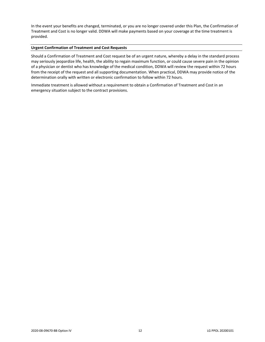In the event your benefits are changed, terminated, or you are no longer covered under this Plan, the Confirmation of Treatment and Cost is no longer valid. DDWA will make payments based on your coverage at the time treatment is provided.

## **Urgent Confirmation of Treatment and Cost Requests**

Should a Confirmation of Treatment and Cost request be of an urgent nature, whereby a delay in the standard process may seriously jeopardize life, health, the ability to regain maximum function, or could cause severe pain in the opinion of a physician or dentist who has knowledge of the medical condition, DDWA will review the request within 72 hours from the receipt of the request and all supporting documentation. When practical, DDWA may provide notice of the determination orally with written or electronic confirmation to follow within 72 hours.

Immediate treatment is allowed without a requirement to obtain a Confirmation of Treatment and Cost in an emergency situation subject to the contract provisions.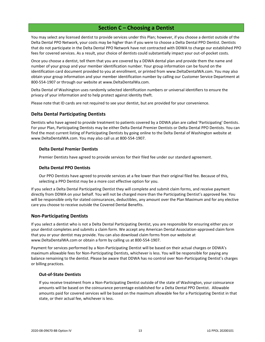## **Section C – Choosing a Dentist**

<span id="page-15-0"></span>You may select any licensed dentist to provide services under this Plan; however, if you choose a dentist outside of the Delta Dental PPO Network, your costs may be higher than if you were to choose a Delta Dental PPO Dentist. Dentists that do not participate in the Delta Dental PPO Network have not contracted with DDWA to charge our established PPO fees for covered services. As a result, your choice of dentists could substantially impact your out-of-pocket costs.

Once you choose a dentist, tell them that you are covered by a DDWA dental plan and provide them the name and number of your group and your member identification number. Your group information can be found on the identification card document provided to you at enrollment, or printed from www.DeltaDentalWA.com. You may also obtain your group information and your member identification number by calling our Customer Service Department at 800-554-1907 or through our website at www.DeltaDentalWa.com.

Delta Dental of Washington uses randomly selected identification numbers or universal identifiers to ensure the privacy of your information and to help protect against identity theft.

Please note that ID cards are not required to see your dentist, but are provided for your convenience.

## <span id="page-15-1"></span>**Delta Dental Participating Dentists**

Dentists who have agreed to provide treatment to patients covered by a DDWA plan are called 'Participating' Dentists. For your Plan, Participating Dentists may be either Delta Dental Premier Dentists or Delta Dental PPO Dentists. You can find the most current listing of Participating Dentists by going online to the Delta Dental of Washington website at www.DeltaDentalWA.com. You may also call us at 800-554-1907.

## **Delta Dental Premier Dentists**

Premier Dentists have agreed to provide services for their filed fee under our standard agreement.

## **Delta Dental PPO Dentists**

Our PPO Dentists have agreed to provide services at a fee lower than their original filed fee. Because of this, selecting a PPO Dentist may be a more cost effective option for you.

If you select a Delta Dental Participating Dentist they will complete and submit claim forms, and receive payment directly from DDWA on your behalf. You will not be charged more than the Participating Dentist's approved fee. You will be responsible only for stated coinsurances, deductibles, any amount over the Plan Maximum and for any elective care you choose to receive outside the Covered Dental Benefits.

## <span id="page-15-2"></span>**Non-Participating Dentists**

If you select a dentist who is not a Delta Dental Participating Dentist, you are responsible for ensuring either you or your dentist completes and submits a claim form. We accept any American Dental Association-approved claim form that you or your dentist may provide. You can also download claim forms from our website at www.DeltaDentalWA.com or obtain a form by calling us at 800-554-1907.

Payment for services performed by a Non-Participating Dentist will be based on their actual charges or DDWA's maximum allowable fees for Non-Participating Dentists, whichever is less. You will be responsible for paying any balance remaining to the dentist. Please be aware that DDWA has no control over Non-Participating Dentist's charges or billing practices.

## **Out-of-State Dentists**

If you receive treatment from a Non-Participating Dentist outside of the state of Washington, your coinsurance amounts will be based on the coinsurance percentage established for a Delta Dental PPO Dentist. Allowable amounts paid for covered services will be based on the maximum allowable fee for a Participating Dentist in that state, or their actual fee, whichever is less.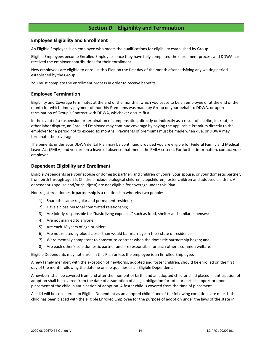## **Section D – Eligibility and Termination**

## <span id="page-16-1"></span><span id="page-16-0"></span>**Employee Eligibility and Enrollment**

An Eligible Employee is an employee who meets the qualifications for eligibility established by Group.

Eligible Employees become Enrolled Employees once they have fully completed the enrollment process and DDWA has received the employer contributions for their enrollment.

New employees are eligible to enroll in this Plan on the first day of the month after satisfying any waiting period established by the Group.

You must complete the enrollment process in order to receive benefits.

## <span id="page-16-2"></span>**Employee Termination**

Eligibility and Coverage terminates at the end of the month in which you cease to be an employee or at the end of the month for which timely payment of monthly Premiums was made by Group on your behalf to DDWA, or upon termination of Group's Contract with DDWA, whichever occurs first.

In the event of a suspension or termination of compensation, directly or indirectly as a result of a strike, lockout, or other labor dispute, an Enrolled Employee may continue coverage by paying the applicable Premium directly to the employer for a period not to exceed six months. Payments of premiums must be made when due, or DDWA may terminate the coverage.

The benefits under your DDWA dental Plan may be continued provided you are eligible for Federal Family and Medical Leave Act (FMLA) and you are on a leave of absence that meets the FMLA criteria. For further information, contact your employer.

## <span id="page-16-3"></span>**Dependent Eligibility and Enrollment**

Eligible Dependents are your spouse or domestic partner, and children of yours, your spouse, or your domestic partner, from birth through age 25. Children include biological children, stepchildren, foster children and adopted children. A dependent's spouse and/or child(ren) are not eligible for coverage under this Plan.

Non-registered domestic partnership is a relationship whereby two people:

- 1) Share the same regular and permanent resident;
- 2) Have a close personal committed relationship;
- 3) Are jointly responsible for "basic living expenses" such as food, shelter and similar expenses;
- 4) Are not married to anyone;
- 5) Are each 18 years of age or older;
- 6) Are not related by blood closer than would bar marriage in their state of residence;
- 7) Were mentally competent to consent to contract when the domestic partnership began; and
- 8) Are each other's sole domestic partner and are responsible for each other's common welfare.

Eligible Dependents may not enroll in this Plan unless the employee is an Enrolled Employee.

A new family member, with the exception of newborns, adopted and foster children, should be enrolled on the first day of the month following the date he or she qualifies as an Eligible Dependent.

A newborn shall be covered from and after the moment of birth, and an adopted child or child placed in anticipation of adoption shall be covered from the date of assumption of a legal obligation for total or partial support or upon placement of the child in anticipation of adoption. A foster child is covered from the time of placement.

A child will be considered an Eligible Dependent as an adopted child if one of the following conditions are met: 1) the child has been placed with the eligible Enrolled Employee for the purpose of adoption under the laws of the state in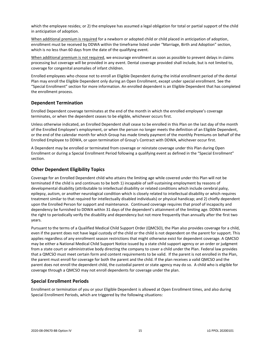which the employee resides; or 2) the employee has assumed a legal obligation for total or partial support of the child in anticipation of adoption.

When additional premium is required for a newborn or adopted child or child placed in anticipation of adoption, enrollment must be received by DDWA within the timeframe listed under "Marriage, Birth and Adoption" section, which is no less than 60 days from the date of the qualifying event.

When additional premium is not required, we encourage enrollment as soon as possible to prevent delays in claims processing but coverage will be provided in any event. Dental coverage provided shall include, but is not limited to, coverage for congenital anomalies of infant children.

Enrolled employees who choose not to enroll an Eligible Dependent during the initial enrollment period of the dental Plan may enroll the Eligible Dependent only during an Open Enrollment, except under special enrollment. See the "Special Enrollment" section for more information. An enrolled dependent is an Eligible Dependent that has completed the enrollment process.

## <span id="page-17-0"></span>**Dependent Termination**

Enrolled Dependent coverage terminates at the end of the month in which the enrolled employee's coverage terminates, or when the dependent ceases to be eligible, whichever occurs first.

Unless otherwise indicated, an Enrolled Dependent shall cease to be enrolled in this Plan on the last day of the month of the Enrolled Employee's employment, or when the person no longer meets the definition of an Eligible Dependent, or the end of the calendar month for which Group has made timely payment of the monthly Premiums on behalf of the Enrolled Employee to DDWA, or upon termination of Group's Contract with DDWA, whichever occur first.

A Dependent may be enrolled or terminated from coverage or reinstate coverage under this Plan during Open Enrollment or during a Special Enrollment Period following a qualifying event as defined in the "Special Enrollment" section.

## <span id="page-17-1"></span>**Other Dependent Eligibility Topics**

Coverage for an Enrolled Dependent child who attains the limiting age while covered under this Plan will not be terminated if the child is and continues to be both 1) incapable of self-sustaining employment by reasons of developmental disability (attributable to intellectual disability or related conditions which include cerebral palsy, epilepsy, autism, or another neurological condition which is closely related to intellectual disability or which requires treatment similar to that required for intellectually disabled individuals) or physical handicap; and 2) chiefly dependent upon the Enrolled Person for support and maintenance. Continued coverage requires that proof of incapacity and dependency be furnished to DDWA within 31 days of the dependent's attainment of the limiting age. DDWA reserves the right to periodically verify the disability and dependency but not more frequently than annually after the first two years.

Pursuant to the terms of a Qualified Medical Child Support Order (QMCSO), the Plan also provides coverage for a child, even if the parent does not have legal custody of the child or the child is not dependent on the parent for support. This applies regardless of any enrollment season restrictions that might otherwise exist for dependent coverage. A QMCSO may be either a National Medical Child Support Notice issued by a state child support agency or an order or judgment from a state court or administrative body directing the company to cover a child under the Plan. Federal law provides that a QMCSO must meet certain form and content requirements to be valid. If the parent is not enrolled in the Plan, the parent must enroll for coverage for both the parent and the child. If the plan receives a valid QMCSO and the parent does not enroll the dependent child, the custodial parent or state agency may do so. A child who is eligible for coverage through a QMCSO may not enroll dependents for coverage under the plan.

## <span id="page-17-2"></span>**Special Enrollment Periods**

Enrollment or termination of you or your Eligible Dependent is allowed at Open Enrollment times, and also during Special Enrollment Periods, which are triggered by the following situations: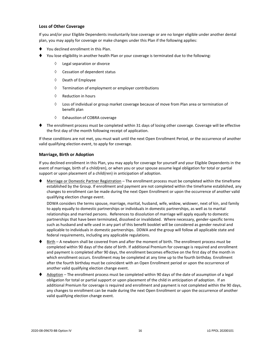## **Loss of Other Coverage**

If you and/or your Eligible Dependents involuntarily lose coverage or are no longer eligible under another dental plan, you may apply for coverage or make changes under this Plan if the following applies:

- You declined enrollment in this Plan.
- You lose eligibility in another health Plan or your coverage is terminated due to the following:
	- Legal separation or divorce
	- $\Diamond$  Cessation of dependent status
	- $\Diamond$  Death of Employee
	- $\Diamond$  Termination of employment or employer contributions
	- $\Diamond$  Reduction in hours
	- $\Diamond$  Loss of individual or group market coverage because of move from Plan area or termination of benefit plan
	- Exhaustion of COBRA coverage
- ⧫ The enrollment process must be completed within 31 days of losing other coverage. Coverage will be effective the first day of the month following receipt of application.

If these conditions are not met, you must wait until the next Open Enrollment Period, or the occurrence of another valid qualifying election event, to apply for coverage.

## **Marriage, Birth or Adoption**

If you declined enrollment in this Plan, you may apply for coverage for yourself and your Eligible Dependents in the event of marriage, birth of a child(ren), or when you or your spouse assume legal obligation for total or partial support or upon placement of a child(ren) in anticipation of adoption.

Marriage or Domestic Partner Registration – The enrollment process must be completed within the timeframe established by the Group. If enrollment and payment are not completed within the timeframe established, any changes to enrollment can be made during the next Open Enrollment or upon the occurrence of another valid qualifying election change event.

DDWA considers the terms spouse, marriage, marital, husband, wife, widow, widower, next of kin, and family to apply equally to domestic partnerships or individuals in domestic partnerships, as well as to marital relationships and married persons. References to dissolution of marriage will apply equally to domestic partnerships that have been terminated, dissolved or invalidated. Where necessary, gender-specific terms such as husband and wife used in any part of this benefit booklet will be considered as gender neutral and applicable to individuals in domestic partnerships. DDWA and the group will follow all applicable state and federal requirements, including any applicable regulations.

- ♦ Birth A newborn shall be covered from and after the moment of birth. The enrollment process must be completed within 90 days of the date of birth. If additional Premium for coverage is required and enrollment and payment is completed after 90 days, the enrollment becomes effective on the first day of the month in which enrollment occurs. Enrollment may be completed at any time up to the fourth birthday. Enrollment after the fourth birthday must be coincident with an Open Enrollment period or upon the occurrence of another valid qualifying election change event.
- Adoption The enrollment process must be completed within 90 days of the date of assumption of a legal obligation for total or partial support or upon placement of the child in anticipation of adoption. If an additional Premium for coverage is required and enrollment and payment is not completed within the 90 days, any changes to enrollment can be made during the next Open Enrollment or upon the occurrence of another valid qualifying election change event.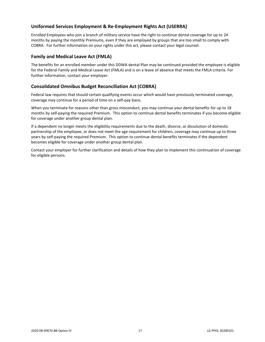## <span id="page-19-0"></span>**Uniformed Services Employment & Re-Employment Rights Act (USERRA)**

Enrolled Employees who join a branch of military service have the right to continue dental coverage for up to 24 months by paying the monthly Premiums, even if they are employed by groups that are too small to comply with COBRA. For further information on your rights under this act, please contact your legal counsel.

## <span id="page-19-1"></span>**Family and Medical Leave Act (FMLA)**

The benefits for an enrolled member under this DDWA dental Plan may be continued provided the employee is eligible for the Federal Family and Medical Leave Act (FMLA) and is on a leave of absence that meets the FMLA criteria. For further information, contact your employer.

## <span id="page-19-2"></span>**Consolidated Omnibus Budget Reconciliation Act (COBRA)**

Federal law requires that should certain qualifying events occur which would have previously terminated coverage, coverage may continue for a period of time on a self-pay basis.

When you terminate for reasons other than gross misconduct, you may continue your dental benefits for up to 18 months by self-paying the required Premium. This option to continue dental benefits terminates if you become eligible for coverage under another group dental plan.

If a dependent no longer meets the eligibility requirements due to the death, divorce, or dissolution of domestic partnership of the employee, or does not meet the age requirement for children, coverage may continue up to three years by self-paying the required Premium. This option to continue dental benefits terminates if the dependent becomes eligible for coverage under another group dental plan.

Contact your employer for further clarification and details of how they plan to implement this continuation of coverage for eligible persons.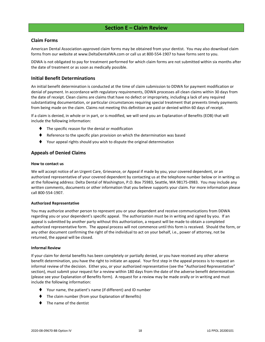## **Section E – Claim Review**

## <span id="page-20-1"></span><span id="page-20-0"></span>**Claim Forms**

American Dental Association-approved claim forms may be obtained from your dentist. You may also download claim forms from our website at www.DeltaDentalWA.com or call us at 800-554-1907 to have forms sent to you.

DDWA is not obligated to pay for treatment performed for which claim forms are not submitted within six months after the date of treatment or as soon as medically possible.

## <span id="page-20-2"></span>**Initial Benefit Determinations**

An initial benefit determination is conducted at the time of claim submission to DDWA for payment modification or denial of payment. In accordance with regulatory requirements, DDWA processes all clean claims within 30 days from the date of receipt. Clean claims are claims that have no defect or impropriety, including a lack of any required substantiating documentation, or particular circumstances requiring special treatment that prevents timely payments from being made on the claim. Claims not meeting this definition are paid or denied within 60 days of receipt.

If a claim is denied, in whole or in part, or is modified, we will send you an Explanation of Benefits (EOB) that will include the following information:

- ⧫ The specific reason for the denial or modification
- ♦ Reference to the specific plan provision on which the determination was based
- ⧫ Your appeal rights should you wish to dispute the original determination

## <span id="page-20-3"></span>**Appeals of Denied Claims**

## **How to contact us**

We will accept notice of an Urgent Care, Grievance, or Appeal if made by you, your covered dependent, or an authorized representative of your covered dependent by contacting us at the telephone number below or in writing us at the following address: Delta Dental of Washington, P.O. Box 75983, Seattle, WA 98175-0983. You may include any written comments, documents or other information that you believe supports your claim. For more information please call 800-554-1907.

## **Authorized Representative**

You may authorize another person to represent you or your dependent and receive communications from DDWA regarding you or your dependent's specific appeal. The authorization must be in writing and signed by you. If an appeal is submitted by another party without this authorization, a request will be made to obtain a completed authorized representative form. The appeal process will not commence until this form is received. Should the form, or any other document confirming the right of the individual to act on your behalf, i.e., power of attorney, not be returned, the appeal will be closed.

## **Informal Review**

If your claim for dental benefits has been completely or partially denied, or you have received any other adverse benefit determination, you have the right to initiate an appeal. Your first step in the appeal process is to request an informal review of the decision. Either you, or your authorized representative (see the "Authorized Representative" section), must submit your request for a review within 180 days from the date of the adverse benefit determination (please see your Explanation of Benefits form). A request for a review may be made orally or in writing and must include the following information:

- ⧫ Your name, the patient's name (if different) and ID number
- The claim number (from your Explanation of Benefits)
- ⧫ The name of the dentist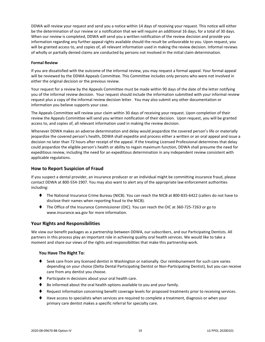DDWA will review your request and send you a notice within 14 days of receiving your request. This notice will either be the determination of our review or a notification that we will require an additional 16 days, for a total of 30 days. When our review is completed, DDWA will send you a written notification of the review decision and provide you information regarding any further appeal rights available should the result be unfavorable to you. Upon request, you will be granted access to, and copies of, all relevant information used in making the review decision. Informal reviews of wholly or partially denied claims are conducted by persons not involved in the initial claim determination.

## **Formal Review**

If you are dissatisfied with the outcome of the informal review, you may request a formal appeal. Your formal appeal will be reviewed by the DDWA Appeals Committee. This Committee includes only persons who were not involved in either the original decision or the previous review.

Your request for a review by the Appeals Committee must be made within 90 days of the date of the letter notifying you of the informal review decision. Your request should include the information submitted with your informal review request plus a copy of the informal review decision letter. You may also submit any other documentation or information you believe supports your case.

The Appeals Committee will review your claim within 30 days of receiving your request. Upon completion of their review the Appeals Committee will send you written notification of their decision. Upon request, you will be granted access to, and copies of, all relevant information used in making the review decision.

Whenever DDWA makes an adverse determination and delay would jeopardize the covered person's life or materially jeopardize the covered person's health, DDWA shall expedite and process either a written or an oral appeal and issue a decision no later than 72 hours after receipt of the appeal. If the treating Licensed Professional determines that delay could jeopardize the eligible person's health or ability to regain maximum function, DDWA shall presume the need for expeditious review, including the need for an expeditious determination in any independent review consistent with applicable regulations.

## <span id="page-21-0"></span>**How to Report Suspicion of Fraud**

If you suspect a dental provider, an insurance producer or an individual might be committing insurance fraud, please contact DDWA at 800-554-1907. You may also want to alert any of the appropriate law enforcement authorities including:

- ⧫ The National Insurance Crime Bureau (NICB). You can reach the NICB at 800-835-6422 (callers do not have to disclose their names when reporting fraud to the NICB).
- ⧫ The Office of the Insurance Commissioner (OIC). You can reach the OIC at 360-725-7263 or go to www.insurance.wa.gov for more information.

## <span id="page-21-1"></span>**Your Rights and Responsibilities**

We view our benefit packages as a partnership between DDWA, our subscribers, and our Participating Dentists. All partners in this process play an important role in achieving quality oral health services. We would like to take a moment and share our views of the rights and responsibilities that make this partnership work.

## **You Have The Right To:**

- ♦ Seek care from any licensed dentist in Washington or nationally. Our reimbursement for such care varies depending on your choice (Delta Dental Participating Dentist or Non-Participating Dentist), but you can receive care from any dentist you choose.
- ⧫ Participate in decisions about your oral health care.
- Be informed about the oral health options available to you and your family.
- ♦ Request information concerning benefit coverage levels for proposed treatments prior to receiving services.
- ⧫ Have access to specialists when services are required to complete a treatment, diagnosis or when your primary care dentist makes a specific referral for specialty care.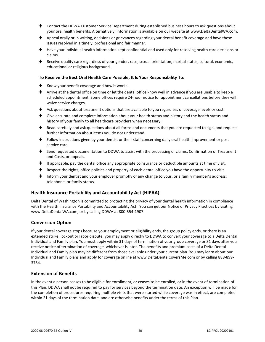- ⧫ Contact the DDWA Customer Service Department during established business hours to ask questions about your oral health benefits. Alternatively, information is available on our website at www.DeltaDentalWA.com.
- ♦ Appeal orally or in writing, decisions or grievances regarding your dental benefit coverage and have these issues resolved in a timely, professional and fair manner.
- ⧫ Have your individual health information kept confidential and used only for resolving health care decisions or claims.
- ⧫ Receive quality care regardless of your gender, race, sexual orientation, marital status, cultural, economic, educational or religious background.

## **To Receive the Best Oral Health Care Possible, It Is Your Responsibility To:**

- ♦ Know your benefit coverage and how it works.
- ⧫ Arrive at the dental office on time or let the dental office know well in advance if you are unable to keep a scheduled appointment. Some offices require 24-hour notice for appointment cancellations before they will waive service charges.
- ♦ Ask questions about treatment options that are available to you regardless of coverage levels or cost.
- ♦ Give accurate and complete information about your health status and history and the health status and history of your family to all healthcare providers when necessary.
- ♦ Read carefully and ask questions about all forms and documents that you are requested to sign, and request further information about items you do not understand.
- ⧫ Follow instructions given by your dentist or their staff concerning daily oral health improvement or post service care.
- ♦ Send requested documentation to DDWA to assist with the processing of claims, Confirmation of Treatment and Costs, or appeals.
- ⧫ If applicable, pay the dental office any appropriate coinsurance or deductible amounts at time of visit.
- Respect the rights, office policies and property of each dental office you have the opportunity to visit.
- Inform your dentist and your employer promptly of any change to your, or a family member's address, telephone, or family status.

## <span id="page-22-0"></span>**Health Insurance Portability and Accountability Act (HIPAA)**

Delta Dental of Washington is committed to protecting the privacy of your dental health information in compliance with the Health Insurance Portability and Accountability Act. You can get our Notice of Privacy Practices by visiting www.DeltaDentalWA.com, or by calling DDWA at 800-554-1907.

## <span id="page-22-1"></span>**Conversion Option**

If your dental coverage stops because your employment or eligibility ends, the group policy ends, or there is an extended strike, lockout or labor dispute, you may apply directly to DDWA to convert your coverage to a Delta Dental Individual and Family plan. You must apply within 31 days of termination of your group coverage or 31 days after you receive notice of termination of coverage, whichever is later. The benefits and premium costs of a Delta Dental Individual and Family plan may be different from those available under your current plan. You may learn about our Individual and Family plans and apply for coverage online at www.DeltaDentalCoversMe.com or by calling 888-899- 3734.

## <span id="page-22-2"></span>**Extension of Benefits**

In the event a person ceases to be eligible for enrollment, or ceases to be enrolled, or in the event of termination of this Plan, DDWA shall not be required to pay for services beyond the termination date. An exception will be made for the completion of procedures requiring multiple visits that were started while coverage was in effect, are completed within 21 days of the termination date, and are otherwise benefits under the terms of this Plan.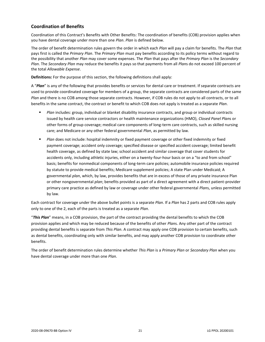## <span id="page-23-0"></span>**Coordination of Benefits**

Coordination of this Contract's Benefits with Other Benefits: The coordination of benefits (COB) provision applies when you have dental coverage under more than one *Plan*. *Plan* is defined below.

The order of benefit determination rules govern the order in which each *Plan* will pay a claim for benefits. The *Plan* that pays first is called the *Primary Plan*. The *Primary Plan* must pay benefits according to its policy terms without regard to the possibility that another *Plan* may cover some expenses. The *Plan* that pays after the *Primary Plan* is the *Secondary Plan*. The *Secondary Plan* may reduce the benefits it pays so that payments from all *Plan*s do not exceed 100 percent of the total *Allowable Expense*.

**Definitions:** For the purpose of this section, the following definitions shall apply:

A "*Plan*" is any of the following that provides benefits or services for dental care or treatment. If separate contracts are used to provide coordinated coverage for members of a group, the separate contracts are considered parts of the same *Plan* and there is no COB among those separate contracts. However, if COB rules do not apply to all contracts, or to all benefits in the same contract, the contract or benefit to which COB does not apply is treated as a separate *Plan*.

- *Plan* includes: group, individual or blanket disability insurance contracts, and group or individual contracts issued by health care service contractors or health maintenance organizations (HMO), *Closed Panel Plan*s or other forms of group coverage; medical care components of long-term care contracts, such as skilled nursing care; and Medicare or any other federal governmental *Plan*, as permitted by law.
- **■** *Plan* does not include: hospital indemnity or fixed payment coverage or other fixed indemnity or fixed payment coverage; accident only coverage; specified disease or specified accident coverage; limited benefit health coverage, as defined by state law; school accident and similar coverage that cover students for accidents only, including athletic injuries, either on a twenty-four-hour basis or on a "to and from school" basis; benefits for nonmedical components of long-term care policies; automobile insurance policies required by statute to provide medical benefits; Medicare supplement policies; A state Plan under Medicaid; A governmental *plan*, which, by law, provides benefits that are in excess of those of any private insurance Plan or other nongovernmental *plan*; benefits provided as part of a direct agreement with a direct patient-provider primary care practice as defined by law or coverage under other federal governmental *Plan*s, unless permitted by law.

Each contract for coverage under the above bullet points is a separate *Plan*. If a *Plan* has 2 parts and COB rules apply only to one of the 2, each of the parts is treated as a separate *Plan*.

"*This Plan*" means, in a COB provision, the part of the contract providing the dental benefits to which the COB provision applies and which may be reduced because of the benefits of other *Plan*s. Any other part of the contract providing dental benefits is separate from *This Plan*. A contract may apply one COB provision to certain benefits, such as dental benefits, coordinating only with similar benefits, and may apply another COB provision to coordinate other benefits.

The order of benefit determination rules determine whether *This Plan* is a *Primary Plan* or *Secondary Plan* when you have dental coverage under more than one *Plan*.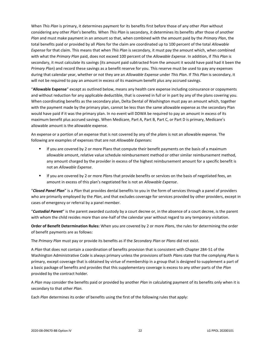When *This Plan* is primary, it determines payment for its benefits first before those of any other *Plan* without considering any other *Plan*'s benefits. When *This Plan* is secondary, it determines its benefits after those of another *Plan* and must make payment in an amount so that, when combined with the amount paid by the *Primary Plan*, the total benefits paid or provided by all *Plan*s for the claim are coordinated up to 100 percent of the total *Allowable Expense* for that claim. This means that when *This Plan* is secondary, it must pay the amount which, when combined with what the *Primary Plan* paid, does not exceed 100 percent of the *Allowable Expense*. In addition, if *This Plan* is secondary, it must calculate its savings (its amount paid subtracted from the amount it would have paid had it been the *Primary Plan*) and record these savings as a benefit reserve for you. This reserve must be used to pay any expenses during that calendar year, whether or not they are an *Allowable Expense* under *This Plan*. If *This Plan* is secondary, it will not be required to pay an amount in excess of its maximum benefit plus any accrued savings.

"**Allowable Expense**" except as outlined below, means any health care expense including coinsurance or copayments and without reduction for any applicable deductible, that is covered in full or in part by any of the plans covering you. When coordinating benefits as the secondary plan, Delta Dental of Washington must pay an amount which, together with the payment made by the primary plan, cannot be less than the same allowable expense as the secondary Plan would have paid if it was the primary plan. In no event will DDWA be required to pay an amount in excess of its maximum benefit plus accrued savings. When Medicare, Part A, Part B, Part C, or Part D is primary, Medicare's allowable amount is the allowable expense.

An expense or a portion of an expense that is not covered by any of the *plan*s is not an allowable expense. The following are examples of expenses that are not *Allowable Expense*s:

- **■** If you are covered by 2 or more Plans that compute their benefit payments on the basis of a maximum allowable amount, relative value schedule reimbursement method or other similar reimbursement method, any amount charged by the provider in excess of the highest reimbursement amount for a specific benefit is not an *Allowable Expense*.
- If you are covered by 2 or more *Plan*s that provide benefits or services on the basis of negotiated fees, an amount in excess of this plan's negotiated fee is not an *Allowable Expense*.

"*Closed Panel Plan*" is a *Plan* that provides dental benefits to you in the form of services through a panel of providers who are primarily employed by the *Plan*, and that excludes coverage for services provided by other providers, except in cases of emergency or referral by a panel member.

"*Custodial Parent*" is the parent awarded custody by a court decree or, in the absence of a court decree, is the parent with whom the child resides more than one-half of the calendar year without regard to any temporary visitation.

**Order of Benefit Determination Rules:** When you are covered by 2 or more *Plan*s, the rules for determining the order of benefit payments are as follows:

The *Primary Plan* must pay or provide its benefits as if the *Secondary Plan* or *Plans* did not exist.

A *Plan* that does not contain a coordination of benefits provision that is consistent with Chapter 284-51 of the Washington Administrative Code is always primary unless the provisions of both *Plan*s state that the complying *Plan* is primary, except coverage that is obtained by virtue of membership in a group that is designed to supplement a part of a basic package of benefits and provides that this supplementary coverage is excess to any other parts of the *Plan* provided by the contract holder.

A *Plan* may consider the benefits paid or provided by another *Plan* in calculating payment of its benefits only when it is secondary to that other *Plan*.

Each *Plan* determines its order of benefits using the first of the following rules that apply: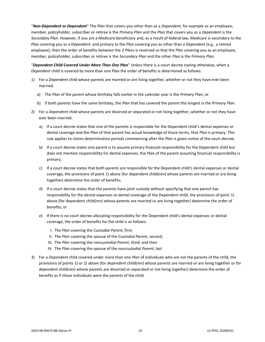"*Non-Dependent or Dependent*" The *Plan* that covers you other than as a *Dependent*, for example as an employee, member, policyholder, subscriber or retiree is the *Primary Plan* and the *Plan* that covers you as a *Dependent* is the *Secondary Plan*. However, if you are a Medicare beneficiary and, as a result of federal law, Medicare is secondary to the *Plan* covering you as a *Dependent*, and primary to the *Plan* covering you as other than a *Dependent* (e.g., a retired employee), then the order of benefits between the 2 *Plan*s is reversed so that the *Plan* covering you as an employee, member, policyholder, subscriber or retiree is the *Secondary Plan* and the other *Plan* is the *Primary Plan*.

"*Dependent Child Covered Under More Than One Plan*" Unless there is a court decree stating otherwise, when a *Dependent* child is covered by more than one *Plan* the order of benefits is determined as follows:

- 1) For a *Dependent* child whose parents are married or are living together, whether or not they have ever been married:
	- a) The *Plan* of the parent whose birthday falls earlier in the calendar year is the *Primary Plan*; or
	- b) If both parents have the same birthday, the *Plan* that has covered the parent the longest is the *Primary Plan*.
- 2) For a *Dependent* child whose parents are divorced or separated or not living together, whether or not they have ever been married:
	- a) If a court decree states that one of the parents is responsible for the Dependent child's dental expenses or dental coverage and the *Plan* of that parent has actual knowledge of those terms, that *Plan* is primary. This rule applies to claims determination periods commencing after the *Plan* is given notice of the court decree;
	- b) If a court decree states one parent is to assume primary financial responsibility for the Dependent child but does not mention responsibility for dental expenses, the *Plan* of the parent assuming financial responsibility is primary;
	- c) If a court decree states that both parents are responsible for the Dependent child's dental expenses or dental coverage, the provisions of point 1) above (for dependent child(ren) whose parents are married or are living together) determine the order of benefits;
	- d) If a court decree states that the parents have joint custody without specifying that one parent has responsibility for the dental expenses or dental coverage of the Dependent child, the provisions of point 1) above (for dependent child(ren) whose parents are married or are living together) determine the order of benefits; or
	- e) If there is no court decree allocating responsibility for the Dependent child's dental expenses or dental coverage, the order of benefits for the child is as follows:
		- I. The *Plan* covering the *Custodial Parent*, first;
		- II. The *Plan* covering the spouse of the *Custodial Parent*, second;
		- III. The *Plan* covering the non*custodial Parent*, third; and then
		- IV. The *Plan* covering the spouse of the non*custodial Parent*, last
- 3) For a *Dependent* child covered under more than one *Plan* of individuals who are not the parents of the child, the provisions of points 1) or 2) above (for *dependent* child(ren) whose parents are married or are living together or for *dependent* child(ren) whose parents are divorced or separated or not living together) determine the order of benefits as if those individuals were the parents of the child.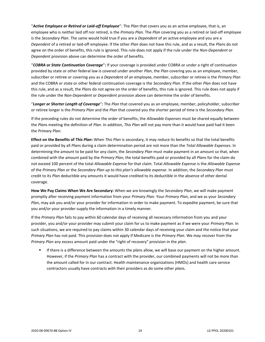"*Active Employee or Retired or Laid-off Employee*": The *Plan* that covers you as an active employee, that is, an employee who is neither laid off nor retired, is the *Primary Plan*. The *Plan* covering you as a retired or laid-off employee is the *Secondary Plan*. The same would hold true if you are a *Dependent* of an active employee and you are a *Dependent* of a retired or laid-off employee. If the other *Plan* does not have this rule, and as a result, the *Plan*s do not agree on the order of benefits, this rule is ignored. This rule does not apply if the rule under the *Non-Dependent* or *Dependent* provision above can determine the order of benefits.

"*COBRA or State Continuation Coverage*"**:** If your coverage is provided under COBRA or under a right of continuation provided by state or other federal law is covered under another *Plan*, the *Plan* covering you as an employee, member, subscriber or retiree or covering you as a *Dependent* of an employee, member, subscriber or retiree is the *Primary Plan* and the COBRA or state or other federal continuation coverage is the *Secondary Plan*. If the other *Plan* does not have this rule, and as a result, the *Plan*s do not agree on the order of benefits, this rule is ignored. This rule does not apply if the rule under the *Non-Dependent* or *Dependent* provision above can determine the order of benefits.

"*Longer or Shorter Length of Coverage*"**:** The *Plan* that covered you as an employee, member, policyholder, subscriber or retiree longer is the *Primary Plan* and the *Plan* that covered you the shorter period of time is the *Secondary Plan*.

If the preceding rules do not determine the order of benefits, the *Allowable Expense*s must be shared equally between the *Plan*s meeting the definition of *Plan*. In addition, *This Plan* will not pay more than it would have paid had it been the *Primary Plan*.

**Effect on the Benefits of** *This Plan***:** When *This Plan* is secondary, it may reduce its benefits so that the total benefits paid or provided by all *Plan*s during a claim determination period are not more than the *Total Allowable Expenses*. In determining the amount to be paid for any claim, the *Secondary Plan* must make payment in an amount so that, when combined with the amount paid by the *Primary Plan*, the total benefits paid or provided by all *Plan*s for the claim do not exceed 100 percent of the total *Allowable Expense* for that claim. Total *Allowable Expense* is the *Allowable Expense* of the *Primary Plan* or the *Secondary Plan up to this plan's allowable expense*. In addition, the *Secondary Plan* must credit to its *Plan* deductible any amounts it would have credited to its deductible in the absence of other dental coverage.

**How We Pay Claims When We Are Secondary:** When we are knowingly the *Secondary Plan*, we will make payment promptly after receiving payment information from your *Primary Plan*. Your *Primary Plan*, and we as your *Secondary Plan*, may ask you and/or your provider for information in order to make payment. To expedite payment, be sure that you and/or your provider supply the information in a timely manner.

If the *Primary Plan* fails to pay within 60 calendar days of receiving all necessary information from you and your provider, you and/or your provider may submit your claim for us to make payment as if we were your *Primary Plan*. In such situations, we are required to pay claims within 30 calendar days of receiving your claim and the notice that your *Primary Plan* has not paid. This provision does not apply if Medicare is the *Primary Plan*. We may recover from the *Primary Plan* any excess amount paid under the "right of recovery" provision in the *plan*.

If there is a difference between the amounts the *plans* allow, we will base our payment on the higher amount. However, if the *Primary Plan* has a contract with the provider, our combined payments will not be more than the amount called for in our contract. Health maintenance organizations (HMOs) and health care service contractors usually have contracts with their providers as do some other *plan*s.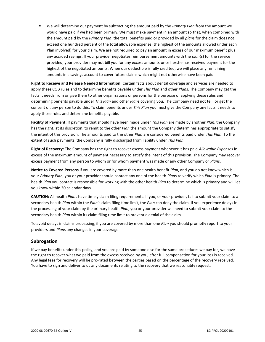▪ We will determine our payment by subtracting the amount paid by the *Primary Plan* from the amount we would have paid if we had been primary. We must make payment in an amount so that, when combined with the amount paid by the *Primary Plan*, the total benefits paid or provided by all *plan*s for the claim does not exceed one hundred percent of the total allowable expense (the highest of the amounts allowed under each Plan involved) for your claim. We are not required to pay an amount in excess of our maximum benefit plus any accrued savings. If your provider negotiates reimbursement amounts with the *plan*(s) for the service provided, your provider may not bill you for any excess amounts once he/she has received payment for the highest of the negotiated amounts. When our deductible is fully credited, we will place any remaining amounts in a savings account to cover future claims which might not otherwise have been paid.

**Right to Receive and Release Needed Information:** Certain facts about dental coverage and services are needed to apply these COB rules and to determine benefits payable under *This Plan* and other *Plan*s. The Company may get the facts it needs from or give them to other organizations or persons for the purpose of applying these rules and determining benefits payable under *This Plan* and other *Plan*s covering you. The Company need not tell, or get the consent of, any person to do this. To claim benefits under *This Plan* you must give the Company any facts it needs to apply those rules and determine benefits payable.

**Facility of Payment:** If payments that should have been made under *This Plan* are made by another *Plan*, the Company has the right, at its discretion, to remit to the other *Plan* the amount the Company determines appropriate to satisfy the intent of this provision. The amounts paid to the other *Plan* are considered benefits paid under *This Plan*. To the extent of such payments, the Company is fully discharged from liability under *This Plan*.

**Right of Recovery:** The Company has the right to recover excess payment whenever it has paid *Allowable Expense*s in excess of the maximum amount of payment necessary to satisfy the intent of this provision. The Company may recover excess payment from any person to whom or for whom payment was made or any other Company or *Plan*s.

**Notice to Covered Persons** If you are covered by more than one health benefit *Plan*, and you do not know which is your *Primary Plan*, you or your provider should contact any one of the health *Plan*s to verify which *Plan* is primary. The health *Plan* you contact is responsible for working with the other health *Plan* to determine which is primary and will let you know within 30 calendar days.

**CAUTION:** All health *Plan*s have timely claim filing requirements. If you, or your provider, fail to submit your claim to a secondary health *Plan* within the *Plan*'s claim filing time limit, the *Plan* can deny the claim. If you experience delays in the processing of your claim by the primary health *Plan*, you or your provider will need to submit your claim to the secondary health *Plan* within its claim filing time limit to prevent a denial of the claim.

To avoid delays in claims processing, if you are covered by more than one *Plan* you should promptly report to your providers and *Plan*s any changes in your coverage.

## <span id="page-27-0"></span>**Subrogation**

If we pay benefits under this policy, and you are paid by someone else for the same procedures we pay for, we have the right to recover what we paid from the excess received by you, after full compensation for your loss is received. Any legal fees for recovery will be pro-rated between the parties based on the percentage of the recovery received. You have to sign and deliver to us any documents relating to the recovery that we reasonably request.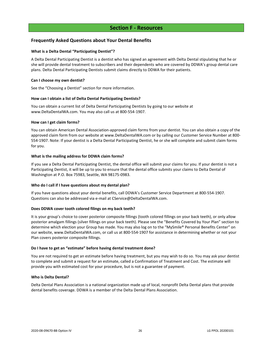## **Section F - Resources**

## <span id="page-28-1"></span><span id="page-28-0"></span>**Frequently Asked Questions about Your Dental Benefits**

## **What is a Delta Dental "Participating Dentist"?**

A Delta Dental Participating Dentist is a dentist who has signed an agreement with Delta Dental stipulating that he or she will provide dental treatment to subscribers and their dependents who are covered by DDWA's group dental care plans. Delta Dental Participating Dentists submit claims directly to DDWA for their patients.

## **Can I choose my own dentist?**

See the "Choosing a Dentist" section for more information.

## **How can I obtain a list of Delta Dental Participating Dentists?**

You can obtain a current list of Delta Dental Participating Dentists by going to our website at www.DeltaDentalWA.com. You may also call us at 800-554-1907.

## **How can I get claim forms?**

You can obtain American Dental Association-approved claim forms from your dentist. You can also obtain a copy of the approved claim form from our website at www.DeltaDentalWA.com or by calling our Customer Service Number at 800- 554-1907. Note: If your dentist is a Delta Dental Participating Dentist, he or she will complete and submit claim forms for you.

## **What is the mailing address for DDWA claim forms?**

If you see a Delta Dental Participating Dentist, the dental office will submit your claims for you. If your dentist is not a Participating Dentist, it will be up to you to ensure that the dental office submits your claims to Delta Dental of Washington at P.O. Box 75983, Seattle, WA 98175-0983.

## **Who do I call if I have questions about my dental plan?**

If you have questions about your dental benefits, call DDWA's Customer Service Department at 800-554-1907. Questions can also be addressed via e-mail at CService@DeltaDentalWA.com.

## **Does DDWA cover tooth colored filings on my back teeth?**

It is your group's choice to cover posterior composite fillings (tooth colored fillings on your back teeth), or only allow posterior amalgam fillings (silver fillings on your back teeth). Please see the "Benefits Covered by Your Plan" section to determine which election your Group has made. You may also log on to the "MySmile® Personal Benefits Center" on our website, www.DeltaDentalWA.com, or call us at 800-554-1907 for assistance in determining whether or not your Plan covers posterior composite fillings.

## **Do I have to get an "estimate" before having dental treatment done?**

You are not required to get an estimate before having treatment, but you may wish to do so. You may ask your dentist to complete and submit a request for an estimate, called a Confirmation of Treatment and Cost. The estimate will provide you with estimated cost for your procedure, but is not a guarantee of payment.

## **Who is Delta Dental?**

Delta Dental Plans Association is a national organization made up of local, nonprofit Delta Dental plans that provide dental benefits coverage. DDWA is a member of the Delta Dental Plans Association.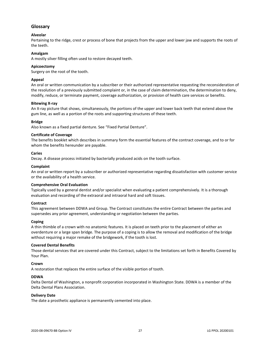## <span id="page-29-0"></span>**Glossary**

## **Alveolar**

Pertaining to the ridge, crest or process of bone that projects from the upper and lower jaw and supports the roots of the teeth.

## **Amalgam**

A mostly silver filling often used to restore decayed teeth.

## **Apicoectomy**

Surgery on the root of the tooth.

## **Appeal**

An oral or written communication by a subscriber or their authorized representative requesting the reconsideration of the resolution of a previously submitted complaint or, in the case of claim determination, the determination to deny, modify, reduce, or terminate payment, coverage authorization, or provision of health care services or benefits.

## **Bitewing X-ray**

An X-ray picture that shows, simultaneously, the portions of the upper and lower back teeth that extend above the gum line, as well as a portion of the roots and supporting structures of these teeth.

## **Bridge**

Also known as a fixed partial denture. See "Fixed Partial Denture".

## **Certificate of Coverage**

The benefits booklet which describes in summary form the essential features of the contract coverage, and to or for whom the benefits hereunder are payable.

## **Caries**

Decay. A disease process initiated by bacterially produced acids on the tooth surface.

## **Complaint**

An oral or written report by a subscriber or authorized representative regarding dissatisfaction with customer service or the availability of a health service.

## **Comprehensive Oral Evaluation**

Typically used by a general dentist and/or specialist when evaluating a patient comprehensively. It is a thorough evaluation and recording of the extraoral and intraoral hard and soft tissues.

## **Contract**

This agreement between DDWA and Group. The Contract constitutes the entire Contract between the parties and supersedes any prior agreement, understanding or negotiation between the parties.

## **Coping**

A thin thimble of a crown with no anatomic features. It is placed on teeth prior to the placement of either an overdenture or a large span bridge. The purpose of a coping is to allow the removal and modification of the bridge without requiring a major remake of the bridgework, if the tooth is lost.

## **Covered Dental Benefits**

Those dental services that are covered under this Contract, subject to the limitations set forth in Benefits Covered by Your Plan.

## **Crown**

A restoration that replaces the entire surface of the visible portion of tooth.

## **DDWA**

Delta Dental of Washington, a nonprofit corporation incorporated in Washington State. DDWA is a member of the Delta Dental Plans Association.

## **Delivery Date**

The date a prosthetic appliance is permanently cemented into place.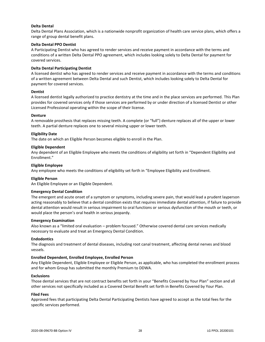## **Delta Dental**

Delta Dental Plans Association, which is a nationwide nonprofit organization of health care service plans, which offers a range of group dental benefit plans.

## **Delta Dental PPO Dentist**

A Participating Dentist who has agreed to render services and receive payment in accordance with the terms and conditions of a written Delta Dental PPO agreement, which includes looking solely to Delta Dental for payment for covered services.

## **Delta Dental Participating Dentist**

A licensed dentist who has agreed to render services and receive payment in accordance with the terms and conditions of a written agreement between Delta Dental and such Dentist, which includes looking solely to Delta Dental for payment for covered services.

## **Dentist**

A licensed dentist legally authorized to practice dentistry at the time and in the place services are performed. This Plan provides for covered services only if those services are performed by or under direction of a licensed Dentist or other Licensed Professional operating within the scope of their license.

## **Denture**

A removable prosthesis that replaces missing teeth. A complete (or "full") denture replaces all of the upper or lower teeth. A partial denture replaces one to several missing upper or lower teeth.

## **Eligibility Date**

The date on which an Eligible Person becomes eligible to enroll in the Plan.

## **Eligible Dependent**

Any dependent of an Eligible Employee who meets the conditions of eligibility set forth in "Dependent Eligibility and Enrollment."

## **Eligible Employee**

Any employee who meets the conditions of eligibility set forth in "Employee Eligibility and Enrollment.

## **Eligible Person**

An Eligible Employee or an Eligible Dependent.

## **Emergency Dental Condition**

The emergent and acute onset of a symptom or symptoms, including severe pain, that would lead a prudent layperson acting reasonably to believe that a dental condition exists that requires immediate dental attention, if failure to provide dental attention would result in serious impairment to oral functions or serious dysfunction of the mouth or teeth, or would place the person's oral health in serious jeopardy.

## **Emergency Examination**

Also known as a "limited oral evaluation – problem focused." Otherwise covered dental care services medically necessary to evaluate and treat an Emergency Dental Condition.

## **Endodontics**

The diagnosis and treatment of dental diseases, including root canal treatment, affecting dental nerves and blood vessels.

## **Enrolled Dependent, Enrolled Employee, Enrolled Person**

Any Eligible Dependent, Eligible Employee or Eligible Person, as applicable, who has completed the enrollment process and for whom Group has submitted the monthly Premium to DDWA.

## **Exclusions**

Those dental services that are not contract benefits set forth in your "Benefits Covered by Your Plan" section and all other services not specifically included as a Covered Dental Benefit set forth in Benefits Covered by Your Plan.

## **Filed Fees**

Approved fees that participating Delta Dental Participating Dentists have agreed to accept as the total fees for the specific services performed.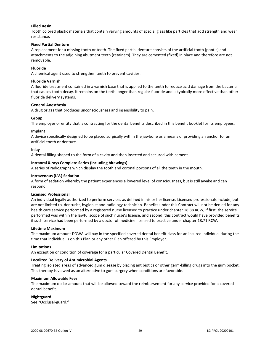## **Filled Resin**

Tooth colored plastic materials that contain varying amounts of special glass like particles that add strength and wear resistance.

## **Fixed Partial Denture**

A replacement for a missing tooth or teeth. The fixed partial denture consists of the artificial tooth (pontic) and attachments to the adjoining abutment teeth (retainers). They are cemented (fixed) in place and therefore are not removable.

## **Fluoride**

A chemical agent used to strengthen teeth to prevent cavities.

## **Fluoride Varnish**

A fluoride treatment contained in a varnish base that is applied to the teeth to reduce acid damage from the bacteria that causes tooth decay. It remains on the teeth longer than regular fluoride and is typically more effective than other fluoride delivery systems.

## **General Anesthesia**

A drug or gas that produces unconsciousness and insensibility to pain.

## **Group**

The employer or entity that is contracting for the dental benefits described in this benefit booklet for its employees.

## **Implant**

A device specifically designed to be placed surgically within the jawbone as a means of providing an anchor for an artificial tooth or denture.

## **Inlay**

A dental filling shaped to the form of a cavity and then inserted and secured with cement.

## **Intraoral X-rays Complete Series (including bitewings)**

A series of radiographs which display the tooth and coronal portions of all the teeth in the mouth.

## **Intravenous (I.V.) Sedation**

A form of sedation whereby the patient experiences a lowered level of consciousness, but is still awake and can respond.

## **Licensed Professional**

An individual legally authorized to perform services as defined in his or her license. Licensed professionals include, but are not limited to, denturist, hygienist and radiology technician. Benefits under this Contract will not be denied for any health care service performed by a registered nurse licensed to practice under chapter 18.88 RCW, if first, the service performed was within the lawful scope of such nurse's license, and second, this contract would have provided benefits if such service had been performed by a doctor of medicine licensed to practice under chapter 18.71 RCW.

## **Lifetime Maximum**

The maximum amount DDWA will pay in the specified covered dental benefit class for an insured individual during the time that individual is on this Plan or any other Plan offered by this Employer.

## **Limitations**

An exception or condition of coverage for a particular Covered Dental Benefit.

## **Localized Delivery of Antimicrobial Agents**

Treating isolated areas of advanced gum disease by placing antibiotics or other germ-killing drugs into the gum pocket. This therapy is viewed as an alternative to gum surgery when conditions are favorable.

## **Maximum Allowable Fees**

The maximum dollar amount that will be allowed toward the reimbursement for any service provided for a covered dental benefit.

## **Nightguard**

See "Occlusal-guard."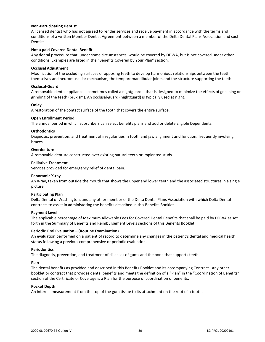## **Non-Participating Dentist**

A licensed dentist who has not agreed to render services and receive payment in accordance with the terms and conditions of a written Member Dentist Agreement between a member of the Delta Dental Plans Association and such Dentist.

## **Not a paid Covered Dental Benefit**

Any dental procedure that, under some circumstances, would be covered by DDWA, but is not covered under other conditions. Examples are listed in the "Benefits Covered by Your Plan" section.

## **Occlusal Adjustment**

Modification of the occluding surfaces of opposing teeth to develop harmonious relationships between the teeth themselves and neuromuscular mechanism, the temporomandibular joints and the structure supporting the teeth.

## **Occlusal-Guard**

A removable dental appliance – sometimes called a nightguard – that is designed to minimize the effects of gnashing or grinding of the teeth (bruxism). An occlusal-guard (nightguard) is typically used at night.

## **Onlay**

A restoration of the contact surface of the tooth that covers the entire surface.

## **Open Enrollment Period**

The annual period in which subscribers can select benefits plans and add or delete Eligible Dependents.

## **Orthodontics**

Diagnosis, prevention, and treatment of irregularities in tooth and jaw alignment and function, frequently involving braces.

## **Overdenture**

A removable denture constructed over existing natural teeth or implanted studs.

## **Palliative Treatment**

Services provided for emergency relief of dental pain.

## **Panoramic X-ray**

An X-ray, taken from outside the mouth that shows the upper and lower teeth and the associated structures in a single picture.

## **Participating Plan**

Delta Dental of Washington, and any other member of the Delta Dental Plans Association with which Delta Dental contracts to assist in administering the benefits described in this Benefits Booklet.

## **Payment Level**

The applicable percentage of Maximum Allowable Fees for Covered Dental Benefits that shall be paid by DDWA as set forth in the Summary of Benefits and Reimbursement Levels sections of this Benefits Booklet.

## **Periodic Oral Evaluation – (Routine Examination)**

An evaluation performed on a patient of record to determine any changes in the patient's dental and medical health status following a previous comprehensive or periodic evaluation.

## **Periodontics**

The diagnosis, prevention, and treatment of diseases of gums and the bone that supports teeth.

## **Plan**

The dental benefits as provided and described in this Benefits Booklet and its accompanying Contract. Any other booklet or contract that provides dental benefits and meets the definition of a "Plan" in the "Coordination of Benefits" section of the Certificate of Coverage is a Plan for the purpose of coordination of benefits.

## **Pocket Depth**

An internal measurement from the top of the gum tissue to its attachment on the root of a tooth.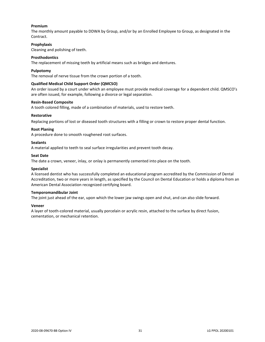## **Premium**

The monthly amount payable to DDWA by Group, and/or by an Enrolled Employee to Group, as designated in the Contract.

## **Prophylaxis**

Cleaning and polishing of teeth.

## **Prosthodontics**

The replacement of missing teeth by artificial means such as bridges and dentures.

## **Pulpotomy**

The removal of nerve tissue from the crown portion of a tooth.

## **Qualified Medical Child Support Order (QMCSO)**

An order issued by a court under which an employee must provide medical coverage for a dependent child. QMSCO's are often issued, for example, following a divorce or legal separation.

## **Resin-Based Composite**

A tooth colored filling, made of a combination of materials, used to restore teeth.

## **Restorative**

Replacing portions of lost or diseased tooth structures with a filling or crown to restore proper dental function.

## **Root Planing**

A procedure done to smooth roughened root surfaces.

## **Sealants**

A material applied to teeth to seal surface irregularities and prevent tooth decay.

## **Seat Date**

The date a crown, veneer, inlay, or onlay is permanently cemented into place on the tooth.

## **Specialist**

A licensed dentist who has successfully completed an educational program accredited by the Commission of Dental Accreditation, two or more years in length, as specified by the Council on Dental Education or holds a diploma from an American Dental Association recognized certifying board.

## **Temporomandibular Joint**

The joint just ahead of the ear, upon which the lower jaw swings open and shut, and can also slide forward.

## **Veneer**

A layer of tooth-colored material, usually porcelain or acrylic resin, attached to the surface by direct fusion, cementation, or mechanical retention.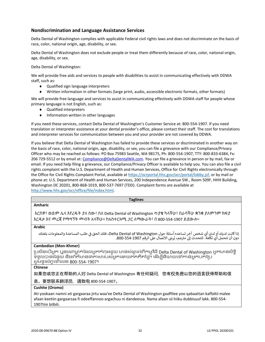## <span id="page-34-0"></span>**Nondiscrimination and Language Assistance Services**

Delta Dental of Washington complies with applicable Federal civil rights laws and does not discriminate on the basis of race, color, national origin, age, disability, or sex.

Delta Dental of Washington does not exclude people or treat them differently because of race, color, national origin, age, disability, or sex.

Delta Dental of Washington:

We will provide free aids and services to people with disabilities to assist in communicating effectively with DDWA staff, such as:

- ◆ Qualified sign language interpreters
- Written information in other formats (large print, audio, accessible electronic formats, other formats)

We will provide free language and services to assist in communicating effectively with DDWA staff for people whose primary language is not English, such as:

- Qualified interpreters
- $\bullet$  Information written in other languages

If you need these services, contact Delta Dental of Washington's Customer Service at: 800-554-1907. If you need translation or interpreter assistance at your dental provider's office, please contact their staff. The cost for translations and interpreter services for communication between you and your provider are not covered by DDWA.

If you believe that Delta Dental of Washington has failed to provide these services or discriminated in another way on the basis of race, color, national origin, age, disability, or sex, you can file a grievance with our Compliance/Privacy Officer who may be reached as follows: PO Box 75983 Seattle, WA 98175, Ph: 800-554-1907, TTY: 800-833-6384, Fx: 206 729-5512 or by email at: [Compliance@DeltaDentalWA.com.](mailto:Compliance@DeltaDentalWA.com) You can file a grievance in person or by mail, fax or email. If you need help filing a grievance, our Compliance/Privacy Officer is available to help you. You can also file a civil rights complaint with the U.S. Department of Health and Human Services, Office for Civil Rights electronically through the Office for Civil Rights Complaint Portal, available a[t https://ocrportal.hhs.gov/ocr/portal/lobby.jsf,](https://ocrportal.hhs.gov/ocr/portal/lobby.jsf) or by mail or phone at: U.S. Department of Health and Human Services, 200 Independence Avenue SW., Room 509F, HHH Building, Washington DC 20201, 800-868-1019, 800-537-7697 (TDD). Complaint forms are available at [http://www.hhs.gov/ocr/office/file/index.html.](http://www.hhs.gov/ocr/office/file/index.html)

| <b>Taglines</b>                                                                                                                                                                                                                                      |
|------------------------------------------------------------------------------------------------------------------------------------------------------------------------------------------------------------------------------------------------------|
| <b>Amharic</b>                                                                                                                                                                                                                                       |
| እርስዎ፣ ወይም ሌላ እየረዱት ያለ ሰው፣ ስለ Delta Dental of Washington ጥያቄ ካላችሁ፣ በራሳችሁ ቋንቋ ያለምንም ክፍያ<br>እርዳታ እና መረጃ የማማኘት መብት አላችሁ። ከአስተርጓሚ <i>ጋ</i> ር ለማውራት፣ በ 800-554-1907 ይደውሉ።                                                                                  |
| <b>Arabic</b>                                                                                                                                                                                                                                        |
| إذا كانت لديك أو لدى أي شخص آخر تساعده أسئلة حول Delta Dental of Washington، فلك الحق في طلب المساعدة والمعلومات بلغتك<br>دون أن تتحمل أي تكلفة. للتحدث إلى مترجم، يُرجى الاتصال على الرقم 290-554-800.                                              |
| <b>Cambodian (Mon-Khmer)</b>                                                                                                                                                                                                                         |
| ប្រសិនបើអ្នក ឬនរណាម្នាក់ដែលអ្នកកំពុងជួយ មានសំណួរអំពីកម្មវិធី Delta Dental of Washington អ្នកមានសិទ្ធិ<br>ទទួលបានជំនួយ និងព័ត៌មានជាភាសារបស់អ្នកដោយឥតគិតថ្លៃ។ ដើម្បីនិយាយទៅកាន់អ្នកបកប្រែ<br>សូមទូរស័ក្កទៅលេខ 800-554-1907។                            |
| <b>Chinese</b>                                                                                                                                                                                                                                       |
| 如果您或您正在帮助的人对 Delta Dental of Washington 有任何疑问,您有权免费以您的语言获得帮助和信                                                                                                                                                                                       |
| 息。要想联系翻译员,请致电 800-554-1907。                                                                                                                                                                                                                          |
| Cushite (Oromo)                                                                                                                                                                                                                                      |
| Ati yookaan namni ati gargaaraa jirtu waa'ee Delta Dental of Washington gaaffilee yoo qabaattan kaffaltii malee<br>afaan keetiin gargaarsaa fi odeeffannoo argachuu ni dandeessa. Nama afaan sii hiiku dubbisuuf lakk. 800-554-<br>1907tiin bilbili. |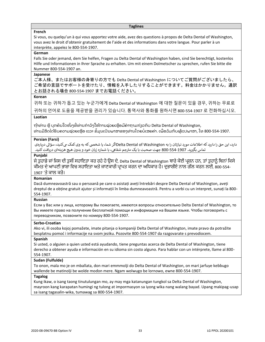#### **Taglines**

## **French**

Si vous, ou quelqu'un à qui vous apportez votre aide, avez des questions à propos de Delta Dental of Washington, vous avez le droit d'obtenir gratuitement de l'aide et des informations dans votre langue. Pour parler à un interprète, appelez le 800-554-1907.

## **German**

Falls Sie oder jemand, dem Sie helfen, Fragen zu Delta Dental of Washington haben, sind Sie berechtigt, kostenlos Hilfe und Informationen in Ihrer Sprache zu erhalten. Um mit einem Dolmetscher zu sprechen, rufen Sie bitte die Nummer 800-554-1907 an.

## **Japanese**

ご本人様、またはお客様の身寄りの方でも Delta Dental of Washington についてご質問がございましたら、 ご希望の言語でサポートを受けたり、情報を入手したりすることができます。料金はかかりません。通訳 とお話される場合 800-554-1907 までお電話ください。

## **Korean**

귀하 또는 귀하가 돕고 있는 누군가에게 Delta Dental of Washington 에 대한 질문이 있을 경우, 귀하는 무료로 귀하의 언어로 도움을 제공받을 권리가 있습니다. 통역사와 통화를 원하시면 800-554-1907 로 전화하십시오.

## **Laotian**

ຖ້າທ່ານ ຫຼື ບຸກຄົນໃດໜຶ່ງທີ່ທ່ານກໍາລັງໃຫ້ການຊ່ວຍເຫຼືອມີຄໍາຖາມກ່ຽວກັບ Delta Dental of Washington, ທ່ານມີສິດໄດ້ຮັບຄວາມຊ່ວຍເຫຼືອ ແລະ ຂໍ້ມູນເປັນພາສາຂອງທ່ານໂດຍບໍ່ເສຍຄ່າ. ເພື່ອລິມກັບຜູ້ແປພາສາ, ໂທ 800-554-1907.

## **Persian (Farsi)**

دارد، این حق را دارید که اطلاعات مورد نیازتان را به Delta Dental of Washingtonاگر شما، یا شخصی که به وی کمک می کنید، سؤالی دربارهی جم شفایه، با شماره زبان خود و بدون هیچ هزینهای دریافتکنید. تماس بگرتید. 800-554-1907 جهت صحبت با یک مت <sup>ر</sup>

## **Punjabi**

ਜੇ ਤੁਹਾਡੇ ਜਾਂ ਜਿਸ ਦੀ ਤੁਸੀਂ ਸਹਾਇਤਾ ਕਰ ਰਹੇ ਹੋ ਉਸ ਦੇ, Delta Dental of Washington ਬਾਰੇ ਕੋਈ ਪ੍ਰਸ਼ਨ ਹਨ, ਤਾਂ ਤੁਹਾਨੂੰ ਬਿਨਾਂ ਕਿਸੇ ਕੀਮਤ ਦੇ ਆਪਣੀ ਭਾਸ਼ਾ ਵਿਚ ਸਹਾਇਤਾ ਅਤੇ ਜਾਣਕਾਰੀ ਪ੍ਰਾਪਤ ਕਰਨ ਦਾ ਅਧਿਕਾਰ ਹੈ। ਦੁਭਾਸ਼ੀਏ ਨਾਲ ਗੱਲ ਕਰਨ ਲਈ, 800-554-1907 'ਤੇ ਕਾਲ ਕਰੋ।

## **Romanian**

Dacă dumneavoastră sau o persoană pe care o asistați aveți întrebări despre Delta Dental of Washington, aveți dreptul de a obține gratuit ajutor și informații în limba dumneavoastră. Pentru a vorbi cu un interpret, sunați la 800- 554-1907.

## **Russian**

Если у Вас или у лица, которому Вы помогаете, имеются вопросы относительно Delta Dental of Washington, то Вы имеете право на получение бесплатной помощи и информации на Вашем языке. Чтобы поговорить с переводчиком, позвоните по номеру 800-554-1907.

## **Serbo-Croatian**

Ako vi, ili osoba kojoj pomažete, imate pitanja o kompaniji Delta Dental of Washington, imate pravo da potražite besplatnu pomoć i informacije na svom jeziku. Pozovite 800-554-1907 da razgovarate s prevodiocem.

## **Spanish**

Si usted, o alguien a quien usted está ayudando, tiene preguntas acerca de Delta Dental of Washington, tiene derecho a obtener ayuda e información en su idioma sin costo alguno. Para hablar con un intérprete, llame al 800- 554-1907.

## **Sudan (Fulfulde)**

To onon, mala mo je on mballata, don mari emmmolji do Delta Dental of Washington, on mari jarfuye keɓɓugo wallende be matinolji be wolde moɗon mere. Ngam wolwugo be lornowo, ewne 800-554-1907.

## **Tagalog**

Kung ikaw, o isang taong tinutulungan mo, ay may mga katanungan tungkol sa Delta Dental of Washington, mayroon kang karapatan humingi ng tulong at impormasyon sa iyong wika nang walang bayad. Upang makipag-usap sa isang tagasalin-wika, tumawag sa 800-554-1907.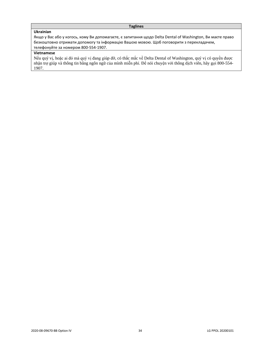## **Taglines**

## **Ukrainian**

Якщо у Вас або у когось, кому Ви допомагаєте, є запитання щодо Delta Dental of Washington, Ви маєте право безкоштовно отримати допомогу та інформацію Вашою мовою. Щоб поговорити з перекладачем, телефонуйте за номером 800-554-1907.

## **Vietnamese**

Nếu quý vị, hoặc ai đó mà quý vị đang giúp đỡ, có thắc mắc về Delta Dental of Washington, quý vị có quyền được nhận trợ giúp và thông tin bằng ngôn ngữ của mình miễn phí. Để nói chuyện với thông dịch viên, hãy gọi 800-554- 1907.